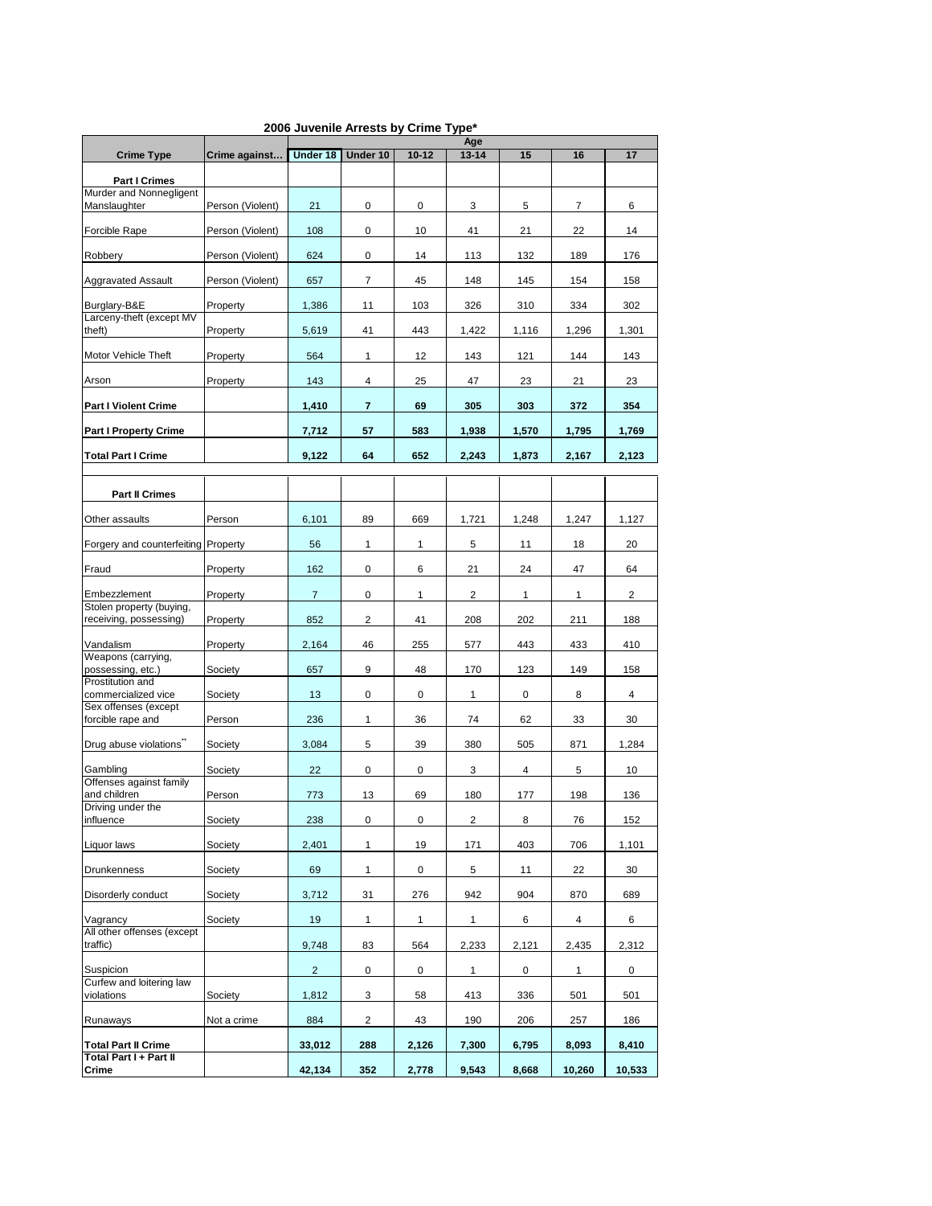|                                                      |                  | Age            |                |           |              |              |              |                |  |
|------------------------------------------------------|------------------|----------------|----------------|-----------|--------------|--------------|--------------|----------------|--|
| <b>Crime Type</b>                                    | Crime against    | Under 18       | Under 10       | $10 - 12$ | $13 - 14$    | 15           | 16           | 17             |  |
| <b>Part I Crimes</b>                                 |                  |                |                |           |              |              |              |                |  |
| Murder and Nonnegligent<br>Manslaughter              | Person (Violent) | 21             | 0              | 0         | 3            | 5            | 7            | 6              |  |
| Forcible Rape                                        | Person (Violent) | 108            | $\mathbf 0$    | 10        | 41           | 21           | 22           | 14             |  |
| Robbery                                              | Person (Violent) | 624            | 0              | 14        | 113          | 132          | 189          | 176            |  |
| <b>Aggravated Assault</b>                            | Person (Violent) | 657            | $\overline{7}$ | 45        | 148          | 145          | 154          | 158            |  |
| Burglary-B&E<br>Larceny-theft (except MV             | Property         | 1,386          | 11             | 103       | 326          | 310          | 334          | 302            |  |
| theft)                                               | Property         | 5,619          | 41             | 443       | 1,422        | 1,116        | 1,296        | 1,301          |  |
| Motor Vehicle Theft                                  | Property         | 564            | $\mathbf{1}$   | 12        | 143          | 121          | 144          | 143            |  |
| Arson                                                | Property         | 143            | 4              | 25        | 47           | 23           | 21           | 23             |  |
| <b>Part I Violent Crime</b>                          |                  | 1,410          | $\overline{7}$ | 69        | 305          | 303          | 372          | 354            |  |
| <b>Part I Property Crime</b>                         |                  | 7,712          | 57             | 583       | 1,938        | 1,570        | 1,795        | 1,769          |  |
| <b>Total Part I Crime</b>                            |                  | 9,122          | 64             | 652       | 2,243        | 1,873        | 2,167        | 2,123          |  |
| <b>Part II Crimes</b>                                |                  |                |                |           |              |              |              |                |  |
| Other assaults                                       | Person           | 6,101          | 89             | 669       | 1,721        | 1,248        | 1,247        | 1,127          |  |
| Forgery and counterfeiting Property                  |                  | 56             | $\mathbf{1}$   | 1         | 5            | 11           | 18           | 20             |  |
| Fraud                                                | Property         | 162            | 0              | 6         | 21           | 24           | 47           | 64             |  |
| Embezzlement                                         | Property         | $\overline{7}$ | 0              | 1         | 2            | $\mathbf{1}$ | $\mathbf{1}$ | 2              |  |
| Stolen property (buying,<br>receiving, possessing)   | Property         | 852            | $\overline{2}$ | 41        | 208          | 202          | 211          | 188            |  |
| Vandalism                                            | Property         | 2,164          | 46             | 255       | 577          | 443          | 433          | 410            |  |
| Weapons (carrying,<br>possessing, etc.)              | Society          | 657            | 9              | 48        | 170          | 123          | 149          | 158            |  |
| Prostitution and<br>commercialized vice              | Society          | 13             | 0              | 0         | $\mathbf{1}$ | 0            | 8            | $\overline{4}$ |  |
| Sex offenses (except<br>forcible rape and            | Person           | 236            | $\mathbf{1}$   | 36        | 74           | 62           | 33           | 30             |  |
| Drug abuse violations"                               | Society          | 3,084          | 5              | 39        | 380          | 505          | 871          | 1,284          |  |
| Gambling                                             | Society          | 22             | 0              | 0         | 3            | 4            | 5            | 10             |  |
| Offenses against family<br>and children              | Person           | 773            | 13             | 69        | 180          | 177          | 198          | 136            |  |
| Driving under the<br>influence                       | Society          | 238            | 0              | 0         | 2            | 8            | 76           | 152            |  |
| Liquor laws                                          | Society          | 2,401          | $\mathbf{1}$   | 19        | 171          | 403          | 706          | 1,101          |  |
| <b>Drunkenness</b>                                   | Society          | 69             | $\mathbf{1}$   | 0         | 5            | 11           | 22           | 30             |  |
| Disorderly conduct                                   | Society          | 3,712          | 31             | 276       | 942          | 904          | 870          | 689            |  |
| Vagrancy<br>All other offenses (except               | Society          | 19             | $\mathbf{1}$   | 1         | 1            | 6            | 4            | 6              |  |
| traffic)                                             |                  | 9,748          | 83             | 564       | 2,233        | 2,121        | 2,435        | 2,312          |  |
| Suspicion<br>Curfew and loitering law                |                  | $\overline{2}$ | 0              | 0         | $\mathbf{1}$ | 0            | $\mathbf{1}$ | 0              |  |
| violations                                           | Society          | 1,812          | 3              | 58        | 413          | 336          | 501          | 501            |  |
| Runaways                                             | Not a crime      | 884            | $\overline{2}$ | 43        | 190          | 206          | 257          | 186            |  |
| <b>Total Part II Crime</b><br>Total Part I + Part II |                  | 33,012         | 288            | 2,126     | 7,300        | 6,795        | 8,093        | 8,410          |  |
| Crime                                                |                  | 42,134         | 352            | 2,778     | 9,543        | 8,668        | 10,260       | 10,533         |  |

## **2006 Juvenile Arrests by Crime Type\***